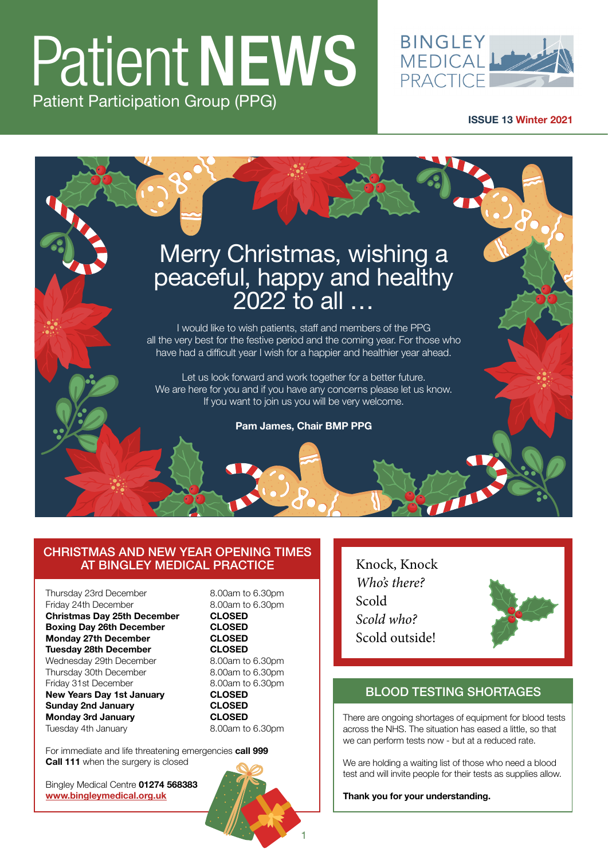### Patient NEWS Patient Participation Group (PPG)



**[ISSUE 13 Winter 2021](https://www.bingleymedical.org.uk/)**



#### CHRISTMAS AND NEW YEAR OPENING TIMES AT BINGLEY MEDICAL PRACTICE

Thursday 23rd December 8.00am to 6.30pm Friday 24th December 8.00am to 6.30pm **Christmas Day 25th December CLOSED Boxing Day 26th December Monday 27th December CLOSED Tuesday 28th December**<br>
Wednesday 29th December 8.00am to 6.30pm Wednesday 29th December Thursday 30th December 8.00am to 6.30pm Friday 31st December 8.00am to 6.30pm **New Years Day 1st January CLOSED Sunday 2nd January CLOSED Monday 3rd January CLOSED** Tuesday 4th January

1

For immediate and life threatening emergencies **call 999 Call 111** when the surgery is closed

Bingley Medical Centre **01274 568383 www.bingleymedical.org.uk**

Knock, Knock *Who's there?* Scold *Scold who?* Scold outside!



### BLOOD TESTING SHORTAGES

There are ongoing shortages of equipment for blood tests across the NHS. The situation has eased a little, so that we can perform tests now - but at a reduced rate.

We are holding a waiting list of those who need a blood test and will invite people for their tests as supplies allow.

**Thank you for your understanding.**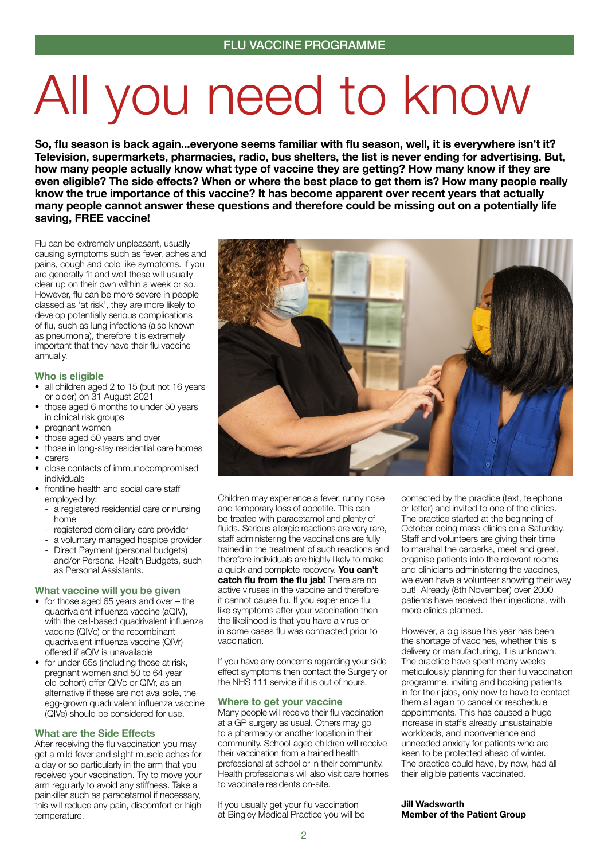## All you need to know

**So, flu season is back again...everyone seems familiar with flu season, well, it is everywhere isn't it? Television, supermarkets, pharmacies, radio, bus shelters, the list is never ending for advertising. But, how many people actually know what type of vaccine they are getting? How many know if they are even eligible? The side effects? When or where the best place to get them is? How many people really know the true importance of this vaccine? It has become apparent over recent years that actually many people cannot answer these questions and therefore could be missing out on a potentially life saving, FREE vaccine!** 

Flu can be extremely unpleasant, usually causing symptoms such as fever, aches and pains, cough and cold like symptoms. If you are generally fit and well these will usually clear up on their own within a week or so. However, flu can be more severe in people classed as 'at risk', they are more likely to develop potentially serious complications of flu, such as lung infections (also known as pneumonia), therefore it is extremely important that they have their flu vaccine annually.

#### **Who is eligible**

- all children aged 2 to 15 (but not 16 years or older) on 31 August 2021
- those aged 6 months to under 50 years in clinical risk groups
- pregnant women
- those aged 50 years and over
- those in long-stay residential care homes
- carers
- close contacts of immunocompromised individuals
- frontline health and social care staff employed by:
	- a registered residential care or nursing home
	- registered domiciliary care provider
	- a voluntary managed hospice provider
	- Direct Payment (personal budgets) and/or Personal Health Budgets, such as Personal Assistants.

#### **What vaccine will you be given**

- for those aged 65 years and over the quadrivalent influenza vaccine (aQIV), with the cell-based quadrivalent influenza vaccine (QIVc) or the recombinant quadrivalent influenza vaccine (QIVr) offered if aQIV is unavailable
- for under-65s (including those at risk, pregnant women and 50 to 64 year old cohort) offer QIVc or QIVr, as an alternative if these are not available, the egg-grown quadrivalent influenza vaccine (QIVe) should be considered for use.

#### **What are the Side Effects**

After receiving the flu vaccination you may get a mild fever and slight muscle aches for a day or so particularly in the arm that you received your vaccination. Try to move your arm regularly to avoid any stiffness. Take a painkiller such as paracetamol if necessary, this will reduce any pain, discomfort or high temperature.



Children may experience a fever, runny nose and temporary loss of appetite. This can be treated with paracetamol and plenty of fluids. Serious allergic reactions are very rare, staff administering the vaccinations are fully trained in the treatment of such reactions and therefore individuals are highly likely to make a quick and complete recovery. **You can't catch flu from the flu jab!** There are no active viruses in the vaccine and therefore it cannot cause flu. If you experience flu like symptoms after your vaccination then the likelihood is that you have a virus or in some cases flu was contracted prior to vaccination.

If you have any concerns regarding your side effect symptoms then contact the Surgery or the NHS 111 service if it is out of hours.

#### **Where to get your vaccine**

Many people will receive their flu vaccination at a GP surgery as usual. Others may go to a pharmacy or another location in their community. School-aged children will receive their vaccination from a trained health professional at school or in their community. Health professionals will also visit care homes to vaccinate residents on-site.

If you usually get your flu vaccination at Bingley Medical Practice you will be

contacted by the practice (text, telephone or letter) and invited to one of the clinics. The practice started at the beginning of October doing mass clinics on a Saturday. Staff and volunteers are giving their time to marshal the carparks, meet and greet, organise patients into the relevant rooms and clinicians administering the vaccines, we even have a volunteer showing their way out! Already (8th November) over 2000 patients have received their injections, with more clinics planned.

However, a big issue this year has been the shortage of vaccines, whether this is delivery or manufacturing, it is unknown. The practice have spent many weeks meticulously planning for their flu vaccination programme, inviting and booking patients in for their jabs, only now to have to contact them all again to cancel or reschedule appointments. This has caused a huge increase in staff's already unsustainable workloads, and inconvenience and unneeded anxiety for patients who are keen to be protected ahead of winter. The practice could have, by now, had all their eligible patients vaccinated.

**Jill Wadsworth Member of the Patient Group**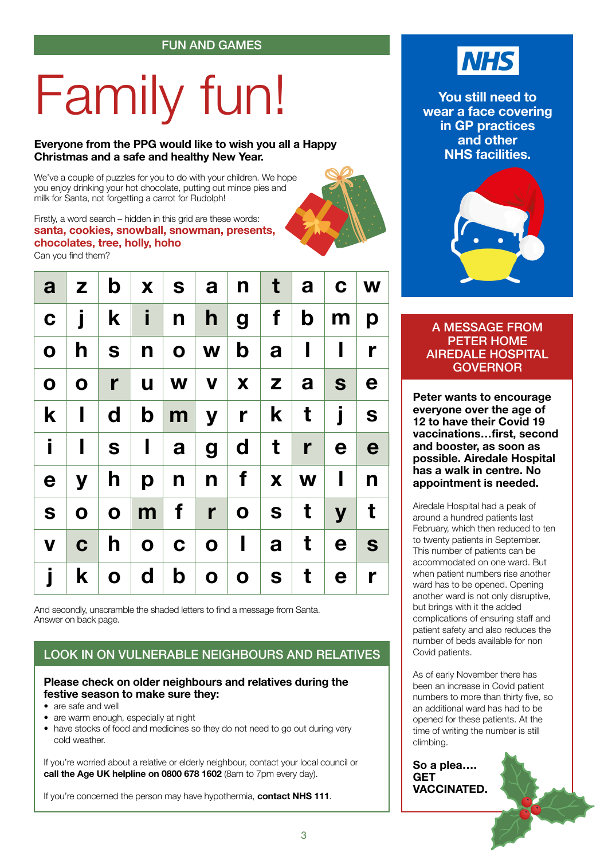# Family fun!

#### **Everyone from the PPG would like to wish you all a Happy Christmas and a safe and healthy New Year.**

We've a couple of puzzles for you to do with your children. We hope you enjoy drinking your hot chocolate, putting out mince pies and milk for Santa, not forgetting a carrot for Rudolph!

#### Firstly, a word search – hidden in this grid are these words: **santa, cookies, snowball, snowman, presents, chocolates, tree, holly, hoho**

Can you find them?

| a <sub>l</sub> | $\mathsf{z}$   |                              | $\mathbf{b} \mid \mathbf{x} \mid \mathbf{s} \mid \mathbf{a} \mid \mathbf{n} \mid \mathbf{t} \mid \mathbf{a} \mid \mathbf{c} \mid \mathbf{w}$ |                   |                       |                |                |                  |              |              |
|----------------|----------------|------------------------------|----------------------------------------------------------------------------------------------------------------------------------------------|-------------------|-----------------------|----------------|----------------|------------------|--------------|--------------|
| $\mathbf C$    | j              | $\mathbf{k}$                 | $\mathbf{i}$                                                                                                                                 | n                 | $\mathsf{h}$          | $\overline{g}$ | $f \mid$       | $\mathbf{b}$     | m            | p            |
| $\mathbf O$    |                | h   s                        | $\mathsf{n}$                                                                                                                                 |                   | o w b                 |                | a <sub>l</sub> | $\mathbf{I}$     | $\mathbf{I}$ | $\mathbf{r}$ |
| $\mathbf O$    | $\mathbf 0$    | $\mathbf{r}$                 | <b>u</b>                                                                                                                                     |                   | $ w v $ $x   z   a  $ |                |                |                  | S            | e            |
| $\mathbf{k}$   | $\mathbf{I}$   | $\mathbf d$                  | $\mathbf{b}$                                                                                                                                 |                   | m y r k t             |                |                |                  | j            | S            |
| İ              | $\blacksquare$ | $\vert$ S $\vert$            | $\mathbf{I}$                                                                                                                                 |                   | a   g   d   t         |                |                | $\mathbf{r}$     | $\mathbf e$  | e            |
| e              | ${\bf y}$      | h                            | $\mathsf{p}$                                                                                                                                 | $n$               | $n \mid$              | f              |                | $\mathbf{X}$   W | $\mathbf{I}$ | n            |
| S              | $\mathbf{O}$   | $\mathbf{O}$                 |                                                                                                                                              | $m \mid f \mid r$ |                       |                | o   s   t      |                  | $\mathbf{y}$ | $\mathbf t$  |
| $\mathbf V$    | $\mathbf C$    | $\mathsf{h}$                 | $\mathbf{O}$                                                                                                                                 |                   | C   O                 | $\mathbf{I}$   | $a \mid$       | $\mathbf t$      | $\mathbf e$  | <b>S</b>     |
| j              |                | $\mathbf{k} \mid \mathbf{o}$ | $\mathsf{d}$                                                                                                                                 | $\mathbf{b}$      | $\mathbf{o}$          | $\mathbf{o}$   | S              | t                | $\mathbf e$  | $\mathbf{r}$ |

And secondly, unscramble the shaded letters to find a message from Santa. Answer on back page.

#### LOOK IN ON VULNERABLE NEIGHBOURS AND RELATIVES

#### **Please check on older neighbours and relatives during the festive season to make sure they:**

- are safe and well
- are warm enough, especially at night

• have stocks of food and medicines so they do not need to go out during very cold weather.

If you're worried about a relative or elderly neighbour, contact your local council or **call the Age UK helpline on 0800 678 1602** (8am to 7pm every day).

If you're concerned the person may have hypothermia, **contact NHS 111**.



**You still need to wear a face covering in GP practices and other NHS facilities.**



#### A MESSAGE FROM PETER HOME AIREDALE HOSPITAL GOVERNOR

**Peter wants to encourage everyone over the age of 12 to have their Covid 19 vaccinations…first, second and booster, as soon as possible. Airedale Hospital has a walk in centre. No appointment is needed.**

Airedale Hospital had a peak of around a hundred patients last February, which then reduced to ten to twenty patients in September. This number of patients can be accommodated on one ward. But when patient numbers rise another ward has to be opened. Opening another ward is not only disruptive, but brings with it the added complications of ensuring staff and patient safety and also reduces the number of beds available for non Covid patients.

As of early November there has been an increase in Covid patient numbers to more than thirty five, so an additional ward has had to be opened for these patients. At the time of writing the number is still climbing.

**So a plea…. GET VACCINATED.**